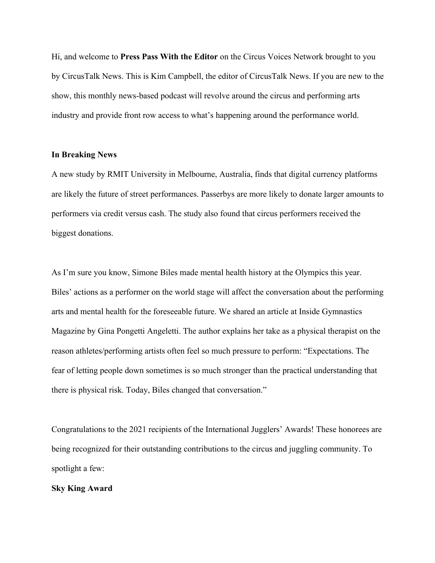Hi, and welcome to **Press Pass With the Editor** on the Circus Voices Network brought to you by CircusTalk News. This is Kim Campbell, the editor of CircusTalk News. If you are new to the show, this monthly news-based podcast will revolve around the circus and performing arts industry and provide front row access to what's happening around the performance world.

## **In Breaking News**

A new study by RMIT University in Melbourne, Australia, finds that digital currency platforms are likely the future of street performances. Passerbys are more likely to donate larger amounts to performers via credit versus cash. The study also found that circus performers received the biggest donations.

As I'm sure you know, Simone Biles made mental health history at the Olympics this year. Biles' actions as a performer on the world stage will affect the conversation about the performing arts and mental health for the foreseeable future. We shared an article at Inside Gymnastics Magazine by Gina Pongetti Angeletti. The author explains her take as a physical therapist on the reason athletes/performing artists often feel so much pressure to perform: "Expectations. The fear of letting people down sometimes is so much stronger than the practical understanding that there is physical risk. Today, Biles changed that conversation."

Congratulations to the 2021 recipients of the International Jugglers' Awards! These honorees are being recognized for their outstanding contributions to the circus and juggling community. To spotlight a few:

## **Sky King Award**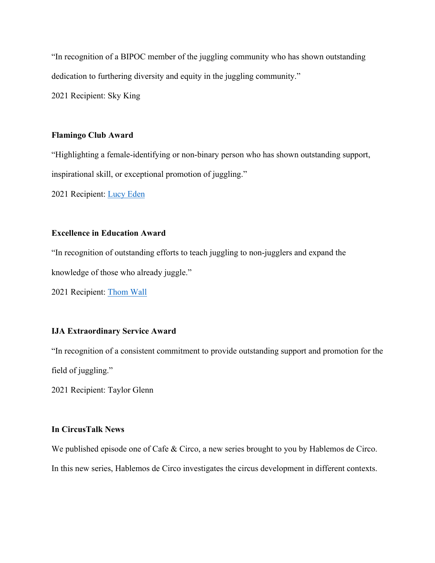"In recognition of a BIPOC member of the juggling community who has shown outstanding dedication to furthering diversity and equity in the juggling community."

2021 Recipient: Sky King

## **Flamingo Club Award**

"Highlighting a female-identifying or non-binary person who has shown outstanding support, inspirational skill, or exceptional promotion of juggling."

2021 Recipient: Lucy Eden

# **Excellence in Education Award**

"In recognition of outstanding efforts to teach juggling to non-jugglers and expand the knowledge of those who already juggle."

2021 Recipient: Thom Wall

## **IJA Extraordinary Service Award**

"In recognition of a consistent commitment to provide outstanding support and promotion for the field of juggling."

2021 Recipient: Taylor Glenn

## **In CircusTalk News**

We published episode one of Cafe & Circo, a new series brought to you by Hablemos de Circo. In this new series, Hablemos de Circo investigates the circus development in different contexts.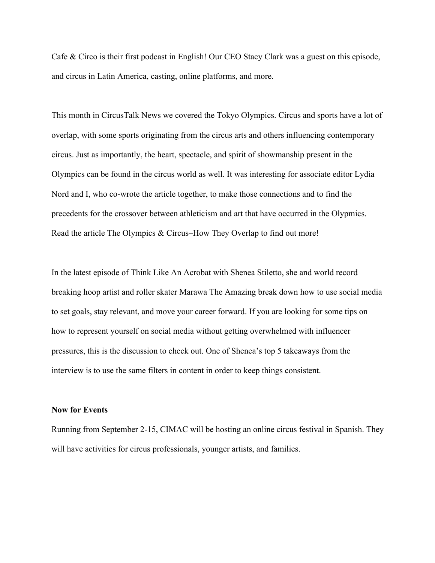Cafe & Circo is their first podcast in English! Our CEO Stacy Clark was a guest on this episode, and circus in Latin America, casting, online platforms, and more.

This month in CircusTalk News we covered the Tokyo Olympics. Circus and sports have a lot of overlap, with some sports originating from the circus arts and others influencing contemporary circus. Just as importantly, the heart, spectacle, and spirit of showmanship present in the Olympics can be found in the circus world as well. It was interesting for associate editor Lydia Nord and I, who co-wrote the article together, to make those connections and to find the precedents for the crossover between athleticism and art that have occurred in the Olypmics. Read the article The Olympics & Circus–How They Overlap to find out more!

In the latest episode of Think Like An Acrobat with Shenea Stiletto, she and world record breaking hoop artist and roller skater Marawa The Amazing break down how to use social media to set goals, stay relevant, and move your career forward. If you are looking for some tips on how to represent yourself on social media without getting overwhelmed with influencer pressures, this is the discussion to check out. One of Shenea's top 5 takeaways from the interview is to use the same filters in content in order to keep things consistent.

#### **Now for Events**

Running from September 2-15, CIMAC will be hosting an online circus festival in Spanish. They will have activities for circus professionals, younger artists, and families.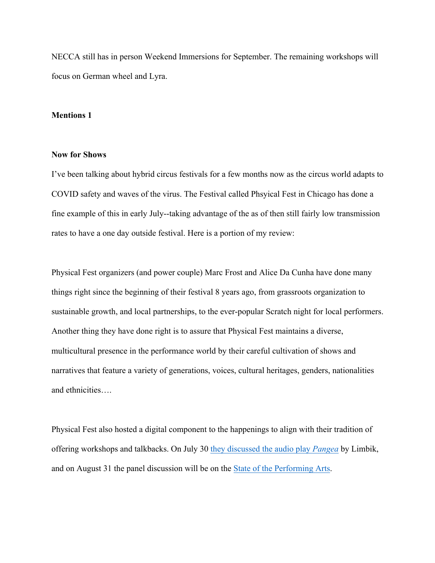NECCA still has in person Weekend Immersions for September. The remaining workshops will focus on German wheel and Lyra.

## **Mentions 1**

#### **Now for Shows**

I've been talking about hybrid circus festivals for a few months now as the circus world adapts to COVID safety and waves of the virus. The Festival called Phsyical Fest in Chicago has done a fine example of this in early July--taking advantage of the as of then still fairly low transmission rates to have a one day outside festival. Here is a portion of my review:

Physical Fest organizers (and power couple) Marc Frost and Alice Da Cunha have done many things right since the beginning of their festival 8 years ago, from grassroots organization to sustainable growth, and local partnerships, to the ever-popular Scratch night for local performers. Another thing they have done right is to assure that Physical Fest maintains a diverse, multicultural presence in the performance world by their careful cultivation of shows and narratives that feature a variety of generations, voices, cultural heritages, genders, nationalities and ethnicities….

Physical Fest also hosted a digital component to the happenings to align with their tradition of offering workshops and talkbacks. On July 30 they discussed the audio play *Pangea* by Limbik, and on August 31 the panel discussion will be on the State of the Performing Arts.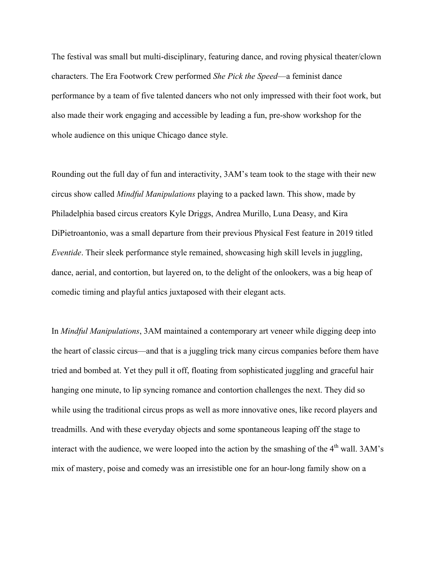The festival was small but multi-disciplinary, featuring dance, and roving physical theater/clown characters. The Era Footwork Crew performed *She Pick the Speed*—a feminist dance performance by a team of five talented dancers who not only impressed with their foot work, but also made their work engaging and accessible by leading a fun, pre-show workshop for the whole audience on this unique Chicago dance style.

Rounding out the full day of fun and interactivity, 3AM's team took to the stage with their new circus show called *Mindful Manipulations* playing to a packed lawn. This show, made by Philadelphia based circus creators Kyle Driggs, Andrea Murillo, Luna Deasy, and Kira DiPietroantonio, was a small departure from their previous Physical Fest feature in 2019 titled *Eventide*. Their sleek performance style remained, showcasing high skill levels in juggling, dance, aerial, and contortion, but layered on, to the delight of the onlookers, was a big heap of comedic timing and playful antics juxtaposed with their elegant acts.

In *Mindful Manipulations*, 3AM maintained a contemporary art veneer while digging deep into the heart of classic circus—and that is a juggling trick many circus companies before them have tried and bombed at. Yet they pull it off, floating from sophisticated juggling and graceful hair hanging one minute, to lip syncing romance and contortion challenges the next. They did so while using the traditional circus props as well as more innovative ones, like record players and treadmills. And with these everyday objects and some spontaneous leaping off the stage to interact with the audience, we were looped into the action by the smashing of the  $4<sup>th</sup>$  wall.  $3AM's$ mix of mastery, poise and comedy was an irresistible one for an hour-long family show on a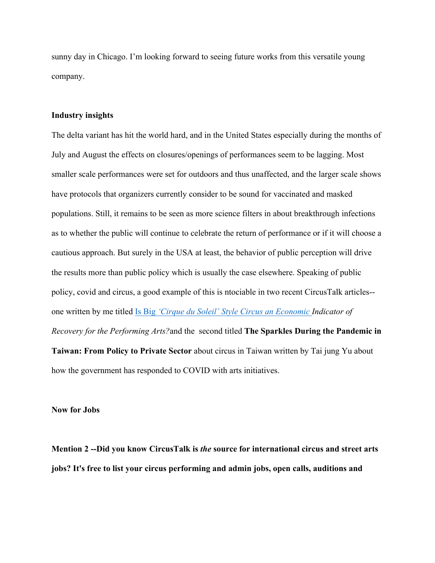sunny day in Chicago. I'm looking forward to seeing future works from this versatile young company.

## **Industry insights**

The delta variant has hit the world hard, and in the United States especially during the months of July and August the effects on closures/openings of performances seem to be lagging. Most smaller scale performances were set for outdoors and thus unaffected, and the larger scale shows have protocols that organizers currently consider to be sound for vaccinated and masked populations. Still, it remains to be seen as more science filters in about breakthrough infections as to whether the public will continue to celebrate the return of performance or if it will choose a cautious approach. But surely in the USA at least, the behavior of public perception will drive the results more than public policy which is usually the case elsewhere. Speaking of public policy, covid and circus, a good example of this is ntociable in two recent CircusTalk articles- one written by me titled Is Big *'Cirque du Soleil' Style Circus an Economic Indicator of Recovery for the Performing Arts?*and the second titled **The Sparkles During the Pandemic in Taiwan: From Policy to Private Sector** about circus in Taiwan written by Tai jung Yu about how the government has responded to COVID with arts initiatives.

**Now for Jobs**

**Mention 2 --Did you know CircusTalk is** *the* **source for international circus and street arts jobs? It's free to list your circus performing and admin jobs, open calls, auditions and**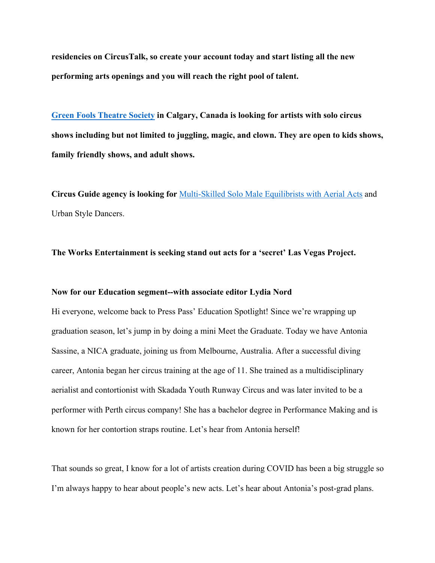**residencies on CircusTalk, so create your account today and start listing all the new performing arts openings and you will reach the right pool of talent.**

**Green Fools Theatre Society in Calgary, Canada is looking for artists with solo circus shows including but not limited to juggling, magic, and clown. They are open to kids shows, family friendly shows, and adult shows.**

**Circus Guide agency is looking for** Multi-Skilled Solo Male Equilibrists with Aerial Acts and Urban Style Dancers.

**The Works Entertainment is seeking stand out acts for a 'secret' Las Vegas Project.**

## **Now for our Education segment--with associate editor Lydia Nord**

Hi everyone, welcome back to Press Pass' Education Spotlight! Since we're wrapping up graduation season, let's jump in by doing a mini Meet the Graduate. Today we have Antonia Sassine, a NICA graduate, joining us from Melbourne, Australia. After a successful diving career, Antonia began her circus training at the age of 11. She trained as a multidisciplinary aerialist and contortionist with Skadada Youth Runway Circus and was later invited to be a performer with Perth circus company! She has a bachelor degree in Performance Making and is known for her contortion straps routine. Let's hear from Antonia herself!

That sounds so great, I know for a lot of artists creation during COVID has been a big struggle so I'm always happy to hear about people's new acts. Let's hear about Antonia's post-grad plans.